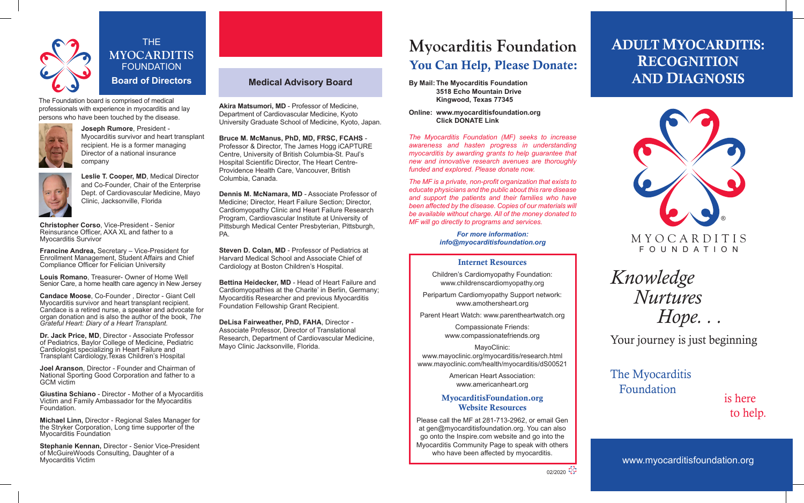

THE **MYOCARDITIS FOUNDATION Board of Directors**

The Foundation board is comprised of medical professionals with experience in myocarditis and lay persons who have been touched by the disease.



**Joseph Rumore**, President - Myocarditis survivor and heart transplant recipient. He is a former managing Director of a national insurance company



**Leslie T. Cooper, MD**, Medical Director and Co-Founder, Chair of the Enterprise Dept. of Cardiovascular Medicine, Mayo Clinic, Jacksonville, Florida

**Christopher Corso**, Vice-President - Senior Reinsurance Officer, AXA XL and father to a Myocarditis Survivor

**Francine Andrea,** Secretary – Vice-President for Enrollment Management, Student Affairs and Chief Compliance Officer for Felician University

**Louis Romano**, Treasurer- Owner of Home Well Senior Care, a home health care agency in New Jersey

**Candace Moose**, Co-Founder , Director - Giant Cell Myocarditis survivor and heart transplant recipient. Candace is a retired nurse, a speaker and advocate for organ donation and is also the author of the book, *The Grateful Heart: Diary of a Heart Transplant.*

**Dr. Jack Price, MD**, Director - Associate Professor of Pediatrics, Baylor College of Medicine, Pediatric Cardiologist specializing in Heart Failure and Transplant Cardiology,Texas Children's Hospital

**Joel Aranson**, Director - Founder and Chairman of National Sporting Good Corporation and father to a GCM victim

**Giustina Schiano** - Director - Mother of a Myocarditis Victim and Family Ambassador for the Myocarditis Foundation.

**Michael Linn,** Director - Regional Sales Manager for the Stryker Corporation, Long time supporter of the Myocarditis Foundation

**Stephanie Kennan,** Director - Senior Vice-President of McGuireWoods Consulting, Daughter of a Myocarditis Victim

### **Medical Advisory Board**

**Akira Matsumori, MD** - Professor of Medicine, Department of Cardiovascular Medicine, Kyoto University Graduate School of Medicine, Kyoto, Japan.

**Bruce M. McManus, PhD, MD, FRSC, FCAHS** - Professor & Director, The James Hogg iCAPTURE Centre, University of British Columbia-St. Paul's Hospital Scientific Director, The Heart Centre-Providence Health Care, Vancouver, British Columbia, Canada.

**Dennis M. McNamara, MD** - Associate Professor of Medicine; Director, Heart Failure Section; Director, Cardiomyopathy Clinic and Heart Failure Research Program, Cardiovascular Institute at University of Pittsburgh Medical Center Presbyterian, Pittsburgh, PA.

**Steven D. Colan, MD - Professor of Pediatrics at** Harvard Medical School and Associate Chief of Cardiology at Boston Children's Hospital.

**Bettina Heidecker, MD** - Head of Heart Failure and Cardiomyopathies at the Charite' in Berlin, Germany; Myocarditis Researcher and previous Myocarditis Foundation Fellowship Grant Recipient.

**DeLisa Fairweather, PhD, FAHA**, Director - Associate Professor, Director of Translational Research, Department of Cardiovascular Medicine, Mayo Clinic Jacksonville, Florida.

# **Myocarditis Foundation** You Can Help, Please Donate:

**By Mail: The Myocarditis Foundation 3518 Echo Mountain Drive Kingwood, Texas 77345**

**Online: www.myocarditisfoundation.org Click DONATE Link**

*The Myocarditis Foundation (MF) seeks to increase awareness and hasten progress in understanding myocarditis by awarding grants to help guarantee that new and innovative research avenues are thoroughly funded and explored. Please donate now.*

*The MF is a private, non-profit organization that exists to educate physicians and the public about this rare disease and support the patients and their families who have been affected by the disease. Copies of our materials will be available without charge. All of the money donated to MF will go directly to programs and services.*

> *For more information: info@myocarditisfoundation.org*

#### Internet Resources

Children's Cardiomyopathy Foundation: www.childrenscardiomyopathy.org

Peripartum Cardiomyopathy Support network: www.amothersheart.org

Parent Heart Watch: www.parentheartwatch.org

Compassionate Friends: www.compassionatefriends.org

MayoClinic: www.mayoclinic.org/myocarditis/research.html www.mayoclinic.com/health/myocarditis/dS00521

> American Heart Association: www.americanheart.org

#### MyocarditisFoundation.org Website Resources

Please call the MF at 281-713-2962, or email Gen at gen@myocarditisfoundation.org. You can also go onto the Inspire.com website and go into the Myocarditis Community Page to speak with others who have been affected by myocarditis.

## ADULT MYOCARDITIS: RECOGNITION AND DIAGNOSIS



*Knowledge Nurtures Hope. . .* 

Your journey is just beginning

The Myocarditis Foundation

is here to help.

www.myocarditisfoundation.org